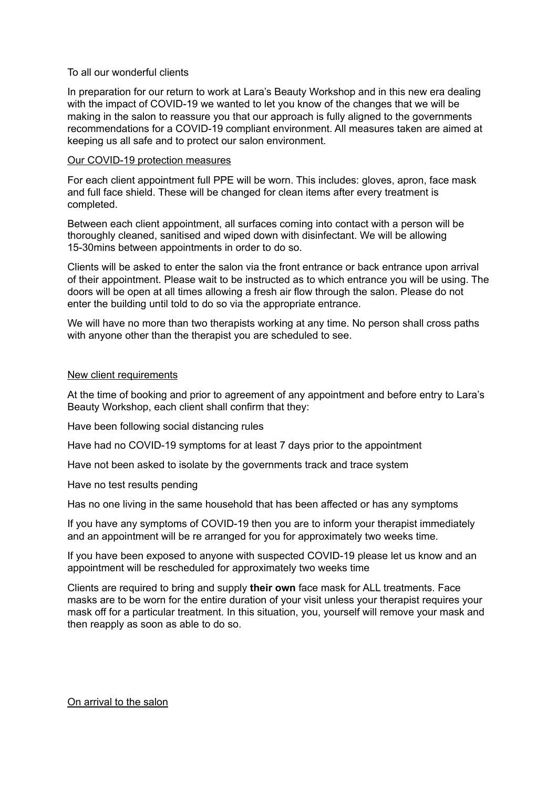## To all our wonderful clients

In preparation for our return to work at Lara's Beauty Workshop and in this new era dealing with the impact of COVID-19 we wanted to let you know of the changes that we will be making in the salon to reassure you that our approach is fully aligned to the governments recommendations for a COVID-19 compliant environment. All measures taken are aimed at keeping us all safe and to protect our salon environment.

## Our COVID-19 protection measures

For each client appointment full PPE will be worn. This includes: gloves, apron, face mask and full face shield. These will be changed for clean items after every treatment is completed.

Between each client appointment, all surfaces coming into contact with a person will be thoroughly cleaned, sanitised and wiped down with disinfectant. We will be allowing 15-30mins between appointments in order to do so.

Clients will be asked to enter the salon via the front entrance or back entrance upon arrival of their appointment. Please wait to be instructed as to which entrance you will be using. The doors will be open at all times allowing a fresh air flow through the salon. Please do not enter the building until told to do so via the appropriate entrance.

We will have no more than two therapists working at any time. No person shall cross paths with anyone other than the therapist you are scheduled to see.

## New client requirements

At the time of booking and prior to agreement of any appointment and before entry to Lara's Beauty Workshop, each client shall confirm that they:

Have been following social distancing rules

Have had no COVID-19 symptoms for at least 7 days prior to the appointment

Have not been asked to isolate by the governments track and trace system

Have no test results pending

Has no one living in the same household that has been affected or has any symptoms

If you have any symptoms of COVID-19 then you are to inform your therapist immediately and an appointment will be re arranged for you for approximately two weeks time.

If you have been exposed to anyone with suspected COVID-19 please let us know and an appointment will be rescheduled for approximately two weeks time

Clients are required to bring and supply **their own** face mask for ALL treatments. Face masks are to be worn for the entire duration of your visit unless your therapist requires your mask off for a particular treatment. In this situation, you, yourself will remove your mask and then reapply as soon as able to do so.

On arrival to the salon